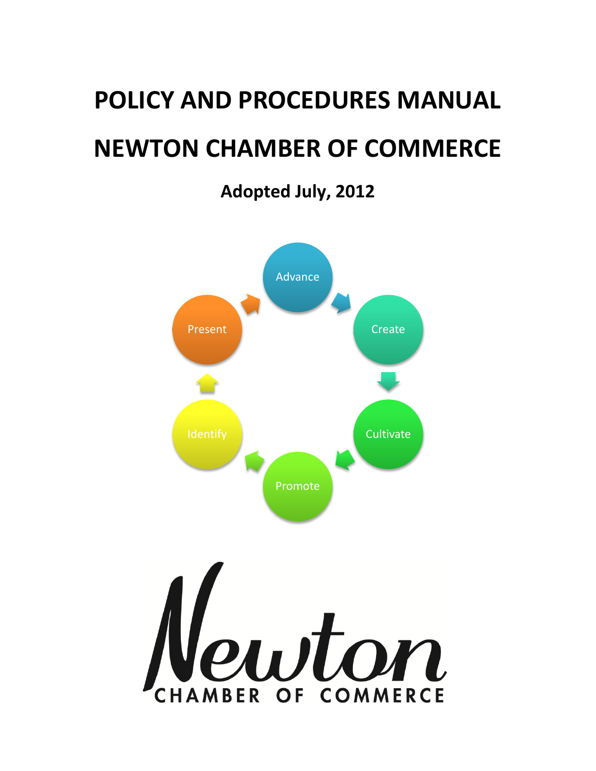# **POLICY AND PROCEDURES MANUAL NEWTON CHAMBER OF COMMERCE**

**Adopted July, 2012**

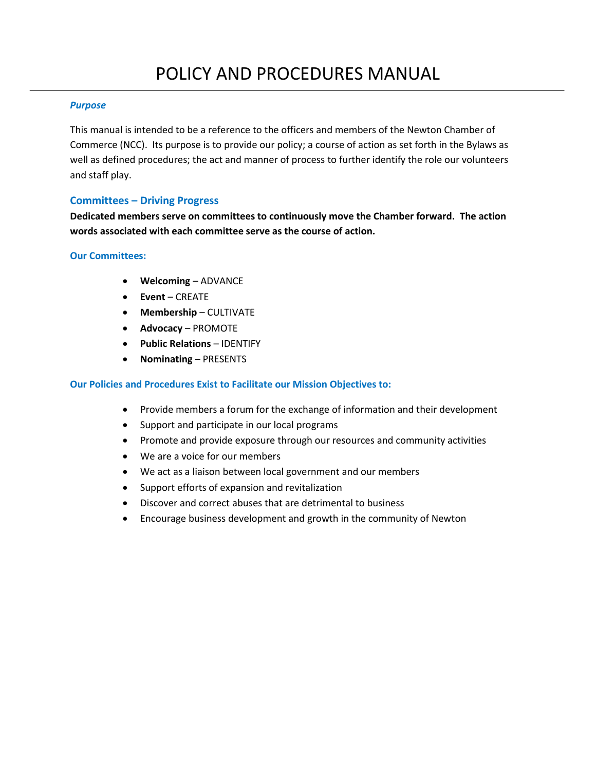# *Purpose*

This manual is intended to be a reference to the officers and members of the Newton Chamber of Commerce (NCC). Its purpose is to provide our policy; a course of action as set forth in the Bylaws as well as defined procedures; the act and manner of process to further identify the role our volunteers and staff play.

# **Committees – Driving Progress**

**Dedicated members serve on committees to continuously move the Chamber forward. The action words associated with each committee serve as the course of action.**

# **Our Committees:**

- **Welcoming** ADVANCE
- **Event** CREATE
- **Membership** CULTIVATE
- **Advocacy** PROMOTE
- **Public Relations** IDENTIFY
- **Nominating** PRESENTS

# **Our Policies and Procedures Exist to Facilitate our Mission Objectives to:**

- Provide members a forum for the exchange of information and their development
- Support and participate in our local programs
- Promote and provide exposure through our resources and community activities
- We are a voice for our members
- We act as a liaison between local government and our members
- Support efforts of expansion and revitalization
- Discover and correct abuses that are detrimental to business
- Encourage business development and growth in the community of Newton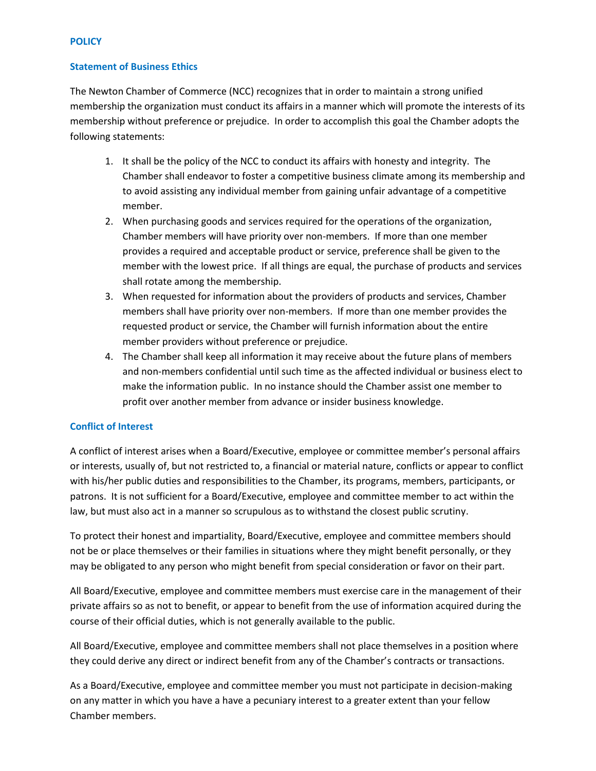# **POLICY**

# **Statement of Business Ethics**

The Newton Chamber of Commerce (NCC) recognizes that in order to maintain a strong unified membership the organization must conduct its affairs in a manner which will promote the interests of its membership without preference or prejudice. In order to accomplish this goal the Chamber adopts the following statements:

- 1. It shall be the policy of the NCC to conduct its affairs with honesty and integrity. The Chamber shall endeavor to foster a competitive business climate among its membership and to avoid assisting any individual member from gaining unfair advantage of a competitive member.
- 2. When purchasing goods and services required for the operations of the organization, Chamber members will have priority over non-members. If more than one member provides a required and acceptable product or service, preference shall be given to the member with the lowest price. If all things are equal, the purchase of products and services shall rotate among the membership.
- 3. When requested for information about the providers of products and services, Chamber members shall have priority over non-members. If more than one member provides the requested product or service, the Chamber will furnish information about the entire member providers without preference or prejudice.
- 4. The Chamber shall keep all information it may receive about the future plans of members and non-members confidential until such time as the affected individual or business elect to make the information public. In no instance should the Chamber assist one member to profit over another member from advance or insider business knowledge.

# **Conflict of Interest**

A conflict of interest arises when a Board/Executive, employee or committee member's personal affairs or interests, usually of, but not restricted to, a financial or material nature, conflicts or appear to conflict with his/her public duties and responsibilities to the Chamber, its programs, members, participants, or patrons. It is not sufficient for a Board/Executive, employee and committee member to act within the law, but must also act in a manner so scrupulous as to withstand the closest public scrutiny.

To protect their honest and impartiality, Board/Executive, employee and committee members should not be or place themselves or their families in situations where they might benefit personally, or they may be obligated to any person who might benefit from special consideration or favor on their part.

All Board/Executive, employee and committee members must exercise care in the management of their private affairs so as not to benefit, or appear to benefit from the use of information acquired during the course of their official duties, which is not generally available to the public.

All Board/Executive, employee and committee members shall not place themselves in a position where they could derive any direct or indirect benefit from any of the Chamber's contracts or transactions.

As a Board/Executive, employee and committee member you must not participate in decision-making on any matter in which you have a have a pecuniary interest to a greater extent than your fellow Chamber members.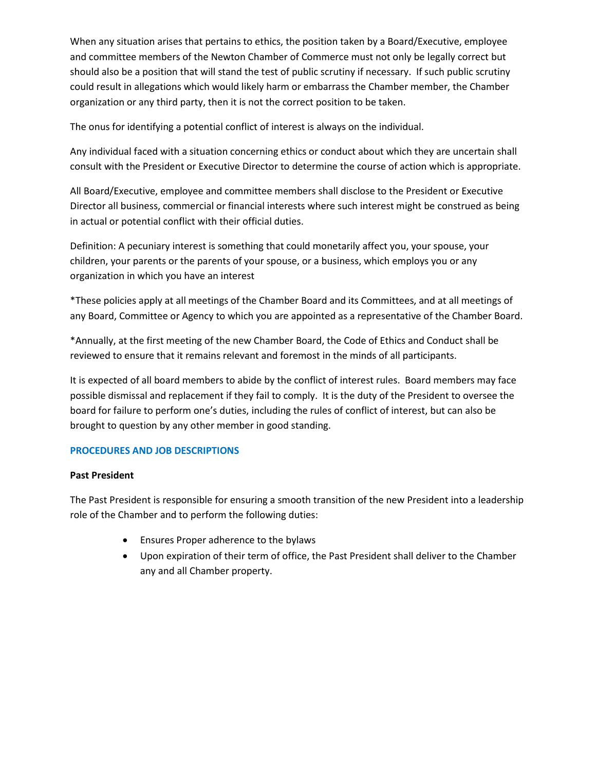When any situation arises that pertains to ethics, the position taken by a Board/Executive, employee and committee members of the Newton Chamber of Commerce must not only be legally correct but should also be a position that will stand the test of public scrutiny if necessary. If such public scrutiny could result in allegations which would likely harm or embarrass the Chamber member, the Chamber organization or any third party, then it is not the correct position to be taken.

The onus for identifying a potential conflict of interest is always on the individual.

Any individual faced with a situation concerning ethics or conduct about which they are uncertain shall consult with the President or Executive Director to determine the course of action which is appropriate.

All Board/Executive, employee and committee members shall disclose to the President or Executive Director all business, commercial or financial interests where such interest might be construed as being in actual or potential conflict with their official duties.

Definition: A pecuniary interest is something that could monetarily affect you, your spouse, your children, your parents or the parents of your spouse, or a business, which employs you or any organization in which you have an interest

\*These policies apply at all meetings of the Chamber Board and its Committees, and at all meetings of any Board, Committee or Agency to which you are appointed as a representative of the Chamber Board.

\*Annually, at the first meeting of the new Chamber Board, the Code of Ethics and Conduct shall be reviewed to ensure that it remains relevant and foremost in the minds of all participants.

It is expected of all board members to abide by the conflict of interest rules. Board members may face possible dismissal and replacement if they fail to comply. It is the duty of the President to oversee the board for failure to perform one's duties, including the rules of conflict of interest, but can also be brought to question by any other member in good standing.

# **PROCEDURES AND JOB DESCRIPTIONS**

# **Past President**

The Past President is responsible for ensuring a smooth transition of the new President into a leadership role of the Chamber and to perform the following duties:

- Ensures Proper adherence to the bylaws
- Upon expiration of their term of office, the Past President shall deliver to the Chamber any and all Chamber property.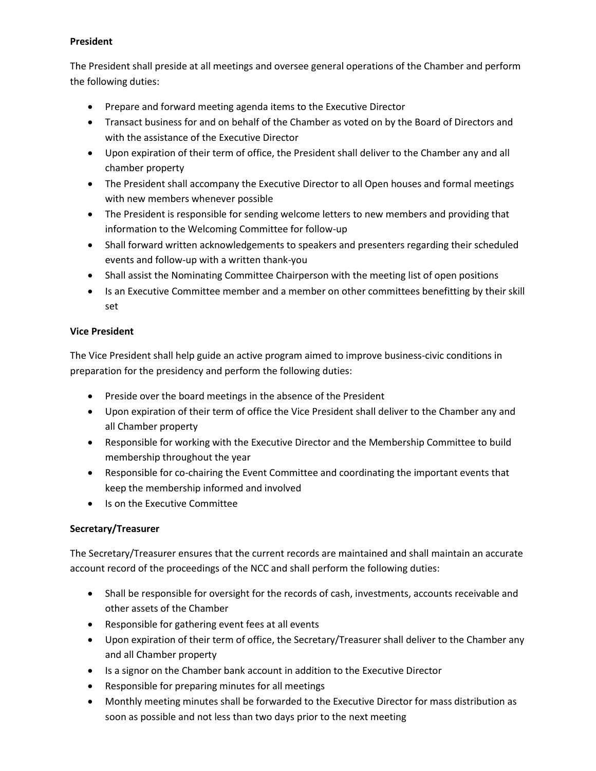# **President**

The President shall preside at all meetings and oversee general operations of the Chamber and perform the following duties:

- Prepare and forward meeting agenda items to the Executive Director
- Transact business for and on behalf of the Chamber as voted on by the Board of Directors and with the assistance of the Executive Director
- Upon expiration of their term of office, the President shall deliver to the Chamber any and all chamber property
- The President shall accompany the Executive Director to all Open houses and formal meetings with new members whenever possible
- The President is responsible for sending welcome letters to new members and providing that information to the Welcoming Committee for follow-up
- Shall forward written acknowledgements to speakers and presenters regarding their scheduled events and follow-up with a written thank-you
- Shall assist the Nominating Committee Chairperson with the meeting list of open positions
- Is an Executive Committee member and a member on other committees benefitting by their skill set

# **Vice President**

The Vice President shall help guide an active program aimed to improve business-civic conditions in preparation for the presidency and perform the following duties:

- Preside over the board meetings in the absence of the President
- Upon expiration of their term of office the Vice President shall deliver to the Chamber any and all Chamber property
- Responsible for working with the Executive Director and the Membership Committee to build membership throughout the year
- Responsible for co-chairing the Event Committee and coordinating the important events that keep the membership informed and involved
- Is on the Executive Committee

# **Secretary/Treasurer**

The Secretary/Treasurer ensures that the current records are maintained and shall maintain an accurate account record of the proceedings of the NCC and shall perform the following duties:

- Shall be responsible for oversight for the records of cash, investments, accounts receivable and other assets of the Chamber
- Responsible for gathering event fees at all events
- Upon expiration of their term of office, the Secretary/Treasurer shall deliver to the Chamber any and all Chamber property
- Is a signor on the Chamber bank account in addition to the Executive Director
- Responsible for preparing minutes for all meetings
- Monthly meeting minutes shall be forwarded to the Executive Director for mass distribution as soon as possible and not less than two days prior to the next meeting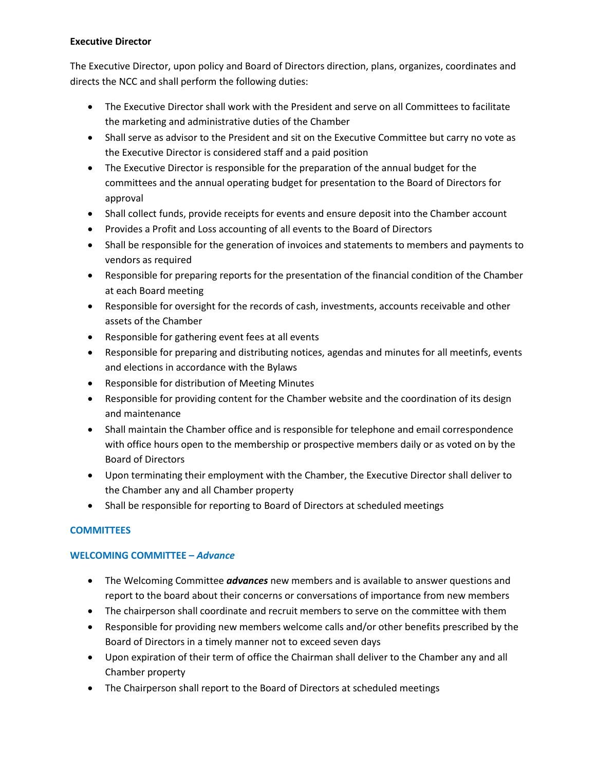# **Executive Director**

The Executive Director, upon policy and Board of Directors direction, plans, organizes, coordinates and directs the NCC and shall perform the following duties:

- The Executive Director shall work with the President and serve on all Committees to facilitate the marketing and administrative duties of the Chamber
- Shall serve as advisor to the President and sit on the Executive Committee but carry no vote as the Executive Director is considered staff and a paid position
- The Executive Director is responsible for the preparation of the annual budget for the committees and the annual operating budget for presentation to the Board of Directors for approval
- Shall collect funds, provide receipts for events and ensure deposit into the Chamber account
- Provides a Profit and Loss accounting of all events to the Board of Directors
- Shall be responsible for the generation of invoices and statements to members and payments to vendors as required
- Responsible for preparing reports for the presentation of the financial condition of the Chamber at each Board meeting
- Responsible for oversight for the records of cash, investments, accounts receivable and other assets of the Chamber
- Responsible for gathering event fees at all events
- Responsible for preparing and distributing notices, agendas and minutes for all meetinfs, events and elections in accordance with the Bylaws
- Responsible for distribution of Meeting Minutes
- Responsible for providing content for the Chamber website and the coordination of its design and maintenance
- Shall maintain the Chamber office and is responsible for telephone and email correspondence with office hours open to the membership or prospective members daily or as voted on by the Board of Directors
- Upon terminating their employment with the Chamber, the Executive Director shall deliver to the Chamber any and all Chamber property
- Shall be responsible for reporting to Board of Directors at scheduled meetings

# **COMMITTEES**

# **WELCOMING COMMITTEE –** *Advance*

- The Welcoming Committee *advances* new members and is available to answer questions and report to the board about their concerns or conversations of importance from new members
- The chairperson shall coordinate and recruit members to serve on the committee with them
- Responsible for providing new members welcome calls and/or other benefits prescribed by the Board of Directors in a timely manner not to exceed seven days
- Upon expiration of their term of office the Chairman shall deliver to the Chamber any and all Chamber property
- The Chairperson shall report to the Board of Directors at scheduled meetings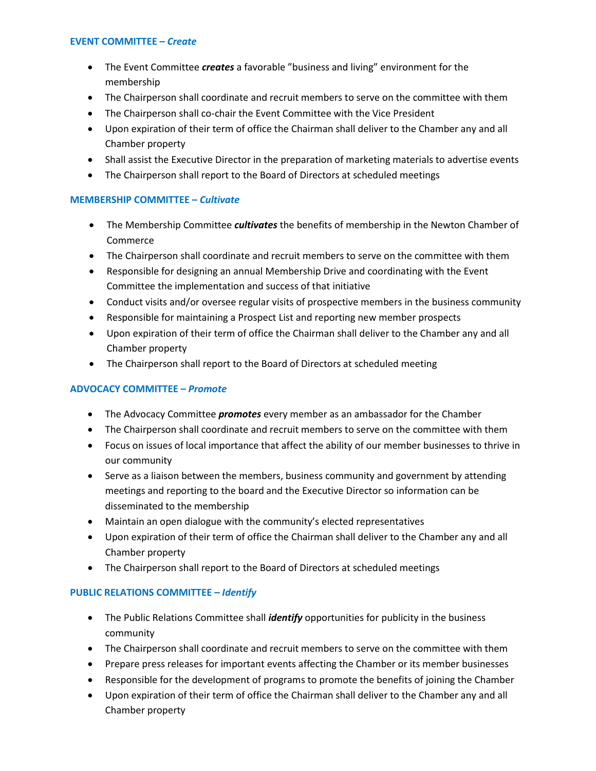## **EVENT COMMITTEE –** *Create*

- The Event Committee *creates* a favorable "business and living" environment for the membership
- The Chairperson shall coordinate and recruit members to serve on the committee with them
- The Chairperson shall co-chair the Event Committee with the Vice President
- Upon expiration of their term of office the Chairman shall deliver to the Chamber any and all Chamber property
- Shall assist the Executive Director in the preparation of marketing materials to advertise events
- The Chairperson shall report to the Board of Directors at scheduled meetings

# **MEMBERSHIP COMMITTEE –** *Cultivate*

- The Membership Committee *cultivates* the benefits of membership in the Newton Chamber of Commerce
- The Chairperson shall coordinate and recruit members to serve on the committee with them
- Responsible for designing an annual Membership Drive and coordinating with the Event Committee the implementation and success of that initiative
- Conduct visits and/or oversee regular visits of prospective members in the business community
- Responsible for maintaining a Prospect List and reporting new member prospects
- Upon expiration of their term of office the Chairman shall deliver to the Chamber any and all Chamber property
- The Chairperson shall report to the Board of Directors at scheduled meeting

# **ADVOCACY COMMITTEE –** *Promote*

- The Advocacy Committee *promotes* every member as an ambassador for the Chamber
- The Chairperson shall coordinate and recruit members to serve on the committee with them
- Focus on issues of local importance that affect the ability of our member businesses to thrive in our community
- Serve as a liaison between the members, business community and government by attending meetings and reporting to the board and the Executive Director so information can be disseminated to the membership
- Maintain an open dialogue with the community's elected representatives
- Upon expiration of their term of office the Chairman shall deliver to the Chamber any and all Chamber property
- The Chairperson shall report to the Board of Directors at scheduled meetings

# **PUBLIC RELATIONS COMMITTEE –** *Identify*

- The Public Relations Committee shall *identify* opportunities for publicity in the business community
- The Chairperson shall coordinate and recruit members to serve on the committee with them
- Prepare press releases for important events affecting the Chamber or its member businesses
- Responsible for the development of programs to promote the benefits of joining the Chamber
- Upon expiration of their term of office the Chairman shall deliver to the Chamber any and all Chamber property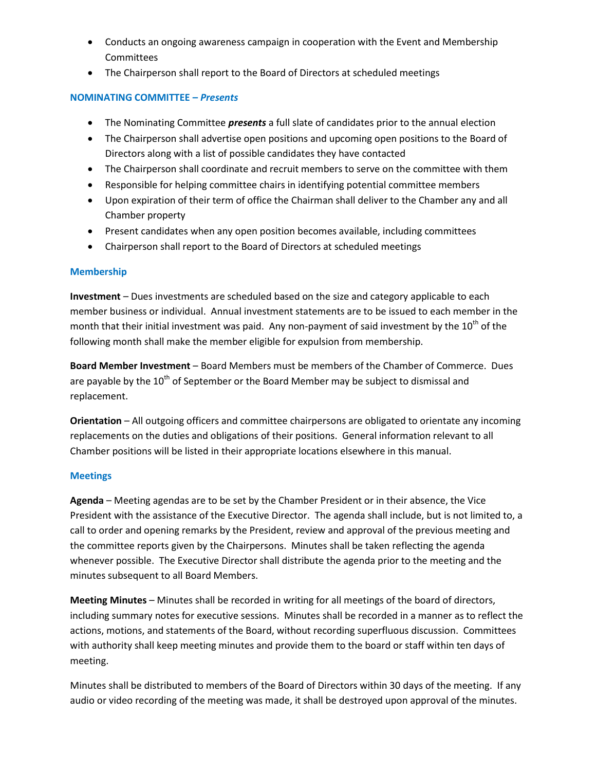- Conducts an ongoing awareness campaign in cooperation with the Event and Membership **Committees**
- The Chairperson shall report to the Board of Directors at scheduled meetings

# **NOMINATING COMMITTEE –** *Presents*

- The Nominating Committee *presents* a full slate of candidates prior to the annual election
- The Chairperson shall advertise open positions and upcoming open positions to the Board of Directors along with a list of possible candidates they have contacted
- The Chairperson shall coordinate and recruit members to serve on the committee with them
- Responsible for helping committee chairs in identifying potential committee members
- Upon expiration of their term of office the Chairman shall deliver to the Chamber any and all Chamber property
- Present candidates when any open position becomes available, including committees
- Chairperson shall report to the Board of Directors at scheduled meetings

# **Membership**

**Investment** – Dues investments are scheduled based on the size and category applicable to each member business or individual. Annual investment statements are to be issued to each member in the month that their initial investment was paid. Any non-payment of said investment by the 10<sup>th</sup> of the following month shall make the member eligible for expulsion from membership.

**Board Member Investment** – Board Members must be members of the Chamber of Commerce. Dues are payable by the  $10<sup>th</sup>$  of September or the Board Member may be subject to dismissal and replacement.

**Orientation** – All outgoing officers and committee chairpersons are obligated to orientate any incoming replacements on the duties and obligations of their positions. General information relevant to all Chamber positions will be listed in their appropriate locations elsewhere in this manual.

# **Meetings**

**Agenda** – Meeting agendas are to be set by the Chamber President or in their absence, the Vice President with the assistance of the Executive Director. The agenda shall include, but is not limited to, a call to order and opening remarks by the President, review and approval of the previous meeting and the committee reports given by the Chairpersons. Minutes shall be taken reflecting the agenda whenever possible. The Executive Director shall distribute the agenda prior to the meeting and the minutes subsequent to all Board Members.

**Meeting Minutes** – Minutes shall be recorded in writing for all meetings of the board of directors, including summary notes for executive sessions. Minutes shall be recorded in a manner as to reflect the actions, motions, and statements of the Board, without recording superfluous discussion. Committees with authority shall keep meeting minutes and provide them to the board or staff within ten days of meeting.

Minutes shall be distributed to members of the Board of Directors within 30 days of the meeting. If any audio or video recording of the meeting was made, it shall be destroyed upon approval of the minutes.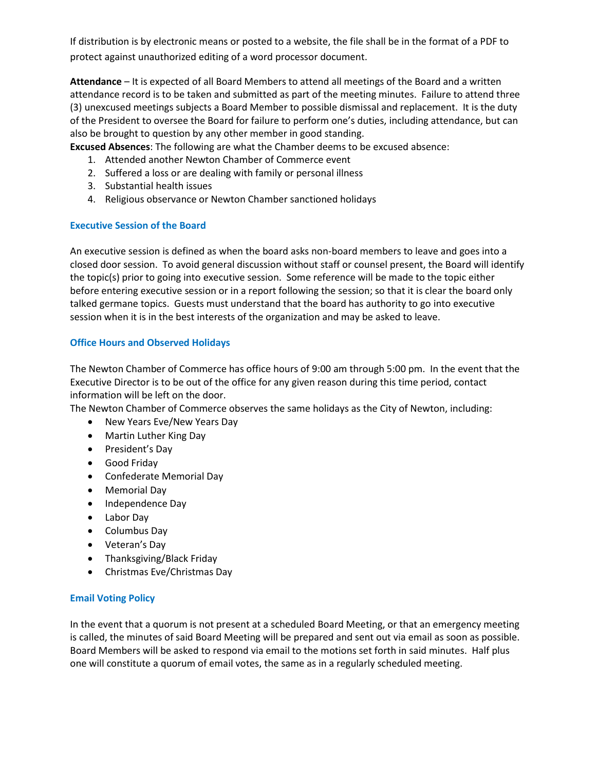If distribution is by electronic means or posted to a website, the file shall be in the format of a PDF to protect against unauthorized editing of a word processor document.

**Attendance** – It is expected of all Board Members to attend all meetings of the Board and a written attendance record is to be taken and submitted as part of the meeting minutes. Failure to attend three (3) unexcused meetings subjects a Board Member to possible dismissal and replacement. It is the duty of the President to oversee the Board for failure to perform one's duties, including attendance, but can also be brought to question by any other member in good standing.

**Excused Absences**: The following are what the Chamber deems to be excused absence:

- 1. Attended another Newton Chamber of Commerce event
- 2. Suffered a loss or are dealing with family or personal illness
- 3. Substantial health issues
- 4. Religious observance or Newton Chamber sanctioned holidays

# **Executive Session of the Board**

An executive session is defined as when the board asks non-board members to leave and goes into a closed door session. To avoid general discussion without staff or counsel present, the Board will identify the topic(s) prior to going into executive session. Some reference will be made to the topic either before entering executive session or in a report following the session; so that it is clear the board only talked germane topics. Guests must understand that the board has authority to go into executive session when it is in the best interests of the organization and may be asked to leave.

# **Office Hours and Observed Holidays**

The Newton Chamber of Commerce has office hours of 9:00 am through 5:00 pm. In the event that the Executive Director is to be out of the office for any given reason during this time period, contact information will be left on the door.

The Newton Chamber of Commerce observes the same holidays as the City of Newton, including:

- New Years Eve/New Years Day
- Martin Luther King Day
- President's Day
- Good Friday
- Confederate Memorial Day
- Memorial Day
- Independence Day
- Labor Day
- Columbus Day
- Veteran's Day
- Thanksgiving/Black Friday
- Christmas Eve/Christmas Day

# **Email Voting Policy**

In the event that a quorum is not present at a scheduled Board Meeting, or that an emergency meeting is called, the minutes of said Board Meeting will be prepared and sent out via email as soon as possible. Board Members will be asked to respond via email to the motions set forth in said minutes. Half plus one will constitute a quorum of email votes, the same as in a regularly scheduled meeting.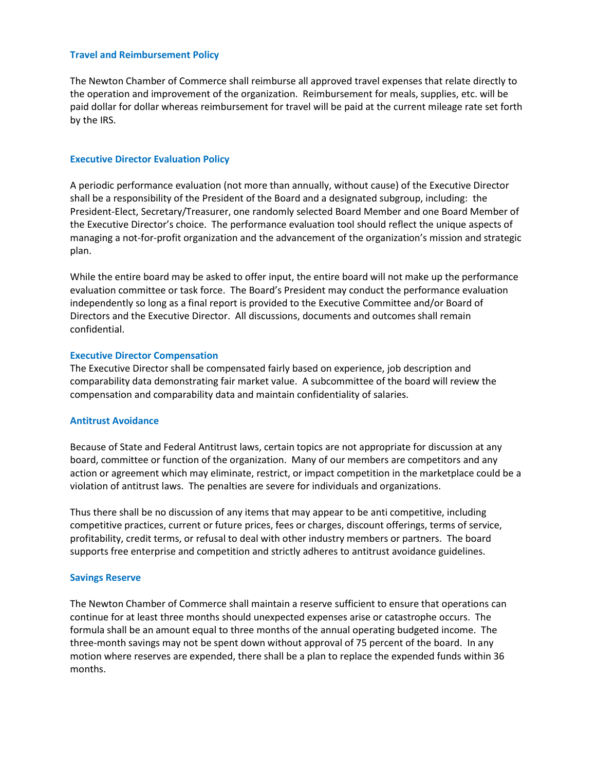## **Travel and Reimbursement Policy**

The Newton Chamber of Commerce shall reimburse all approved travel expenses that relate directly to the operation and improvement of the organization. Reimbursement for meals, supplies, etc. will be paid dollar for dollar whereas reimbursement for travel will be paid at the current mileage rate set forth by the IRS.

#### **Executive Director Evaluation Policy**

A periodic performance evaluation (not more than annually, without cause) of the Executive Director shall be a responsibility of the President of the Board and a designated subgroup, including: the President-Elect, Secretary/Treasurer, one randomly selected Board Member and one Board Member of the Executive Director's choice. The performance evaluation tool should reflect the unique aspects of managing a not-for-profit organization and the advancement of the organization's mission and strategic plan.

While the entire board may be asked to offer input, the entire board will not make up the performance evaluation committee or task force. The Board's President may conduct the performance evaluation independently so long as a final report is provided to the Executive Committee and/or Board of Directors and the Executive Director. All discussions, documents and outcomes shall remain confidential.

#### **Executive Director Compensation**

The Executive Director shall be compensated fairly based on experience, job description and comparability data demonstrating fair market value. A subcommittee of the board will review the compensation and comparability data and maintain confidentiality of salaries.

## **Antitrust Avoidance**

Because of State and Federal Antitrust laws, certain topics are not appropriate for discussion at any board, committee or function of the organization. Many of our members are competitors and any action or agreement which may eliminate, restrict, or impact competition in the marketplace could be a violation of antitrust laws. The penalties are severe for individuals and organizations.

Thus there shall be no discussion of any items that may appear to be anti competitive, including competitive practices, current or future prices, fees or charges, discount offerings, terms of service, profitability, credit terms, or refusal to deal with other industry members or partners. The board supports free enterprise and competition and strictly adheres to antitrust avoidance guidelines.

#### **Savings Reserve**

The Newton Chamber of Commerce shall maintain a reserve sufficient to ensure that operations can continue for at least three months should unexpected expenses arise or catastrophe occurs. The formula shall be an amount equal to three months of the annual operating budgeted income. The three-month savings may not be spent down without approval of 75 percent of the board. In any motion where reserves are expended, there shall be a plan to replace the expended funds within 36 months.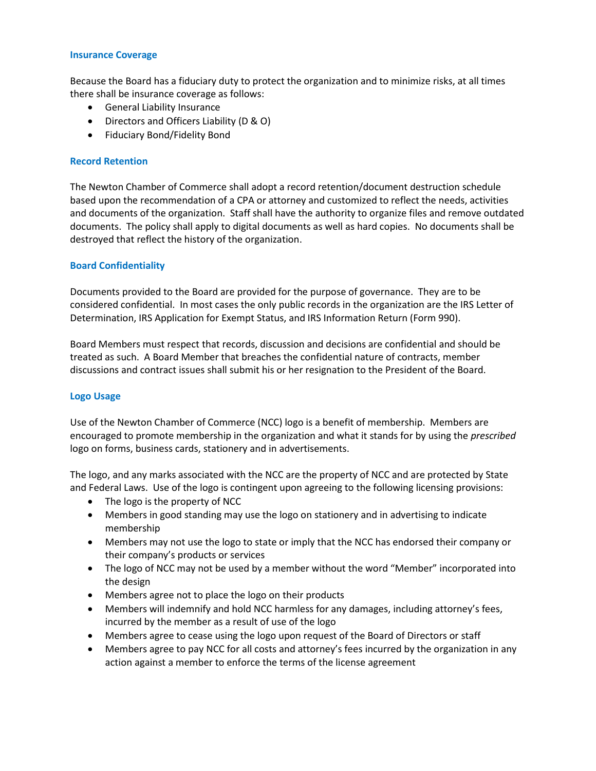## **Insurance Coverage**

Because the Board has a fiduciary duty to protect the organization and to minimize risks, at all times there shall be insurance coverage as follows:

- General Liability Insurance
- Directors and Officers Liability (D & O)
- Fiduciary Bond/Fidelity Bond

## **Record Retention**

The Newton Chamber of Commerce shall adopt a record retention/document destruction schedule based upon the recommendation of a CPA or attorney and customized to reflect the needs, activities and documents of the organization. Staff shall have the authority to organize files and remove outdated documents. The policy shall apply to digital documents as well as hard copies. No documents shall be destroyed that reflect the history of the organization.

## **Board Confidentiality**

Documents provided to the Board are provided for the purpose of governance. They are to be considered confidential. In most cases the only public records in the organization are the IRS Letter of Determination, IRS Application for Exempt Status, and IRS Information Return (Form 990).

Board Members must respect that records, discussion and decisions are confidential and should be treated as such. A Board Member that breaches the confidential nature of contracts, member discussions and contract issues shall submit his or her resignation to the President of the Board.

## **Logo Usage**

Use of the Newton Chamber of Commerce (NCC) logo is a benefit of membership. Members are encouraged to promote membership in the organization and what it stands for by using the *prescribed* logo on forms, business cards, stationery and in advertisements.

The logo, and any marks associated with the NCC are the property of NCC and are protected by State and Federal Laws. Use of the logo is contingent upon agreeing to the following licensing provisions:

- The logo is the property of NCC
- Members in good standing may use the logo on stationery and in advertising to indicate membership
- Members may not use the logo to state or imply that the NCC has endorsed their company or their company's products or services
- The logo of NCC may not be used by a member without the word "Member" incorporated into the design
- Members agree not to place the logo on their products
- Members will indemnify and hold NCC harmless for any damages, including attorney's fees, incurred by the member as a result of use of the logo
- Members agree to cease using the logo upon request of the Board of Directors or staff
- Members agree to pay NCC for all costs and attorney's fees incurred by the organization in any action against a member to enforce the terms of the license agreement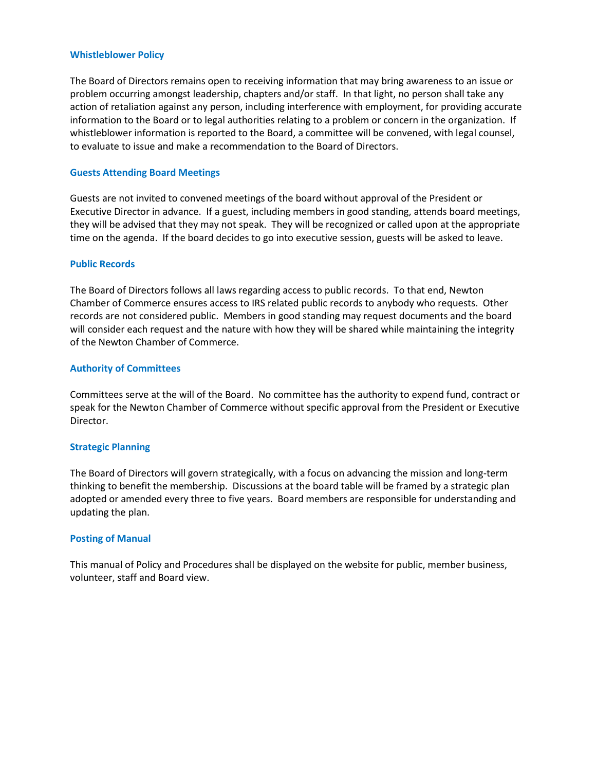#### **Whistleblower Policy**

The Board of Directors remains open to receiving information that may bring awareness to an issue or problem occurring amongst leadership, chapters and/or staff. In that light, no person shall take any action of retaliation against any person, including interference with employment, for providing accurate information to the Board or to legal authorities relating to a problem or concern in the organization. If whistleblower information is reported to the Board, a committee will be convened, with legal counsel, to evaluate to issue and make a recommendation to the Board of Directors.

## **Guests Attending Board Meetings**

Guests are not invited to convened meetings of the board without approval of the President or Executive Director in advance. If a guest, including members in good standing, attends board meetings, they will be advised that they may not speak. They will be recognized or called upon at the appropriate time on the agenda. If the board decides to go into executive session, guests will be asked to leave.

## **Public Records**

The Board of Directors follows all laws regarding access to public records. To that end, Newton Chamber of Commerce ensures access to IRS related public records to anybody who requests. Other records are not considered public. Members in good standing may request documents and the board will consider each request and the nature with how they will be shared while maintaining the integrity of the Newton Chamber of Commerce.

## **Authority of Committees**

Committees serve at the will of the Board. No committee has the authority to expend fund, contract or speak for the Newton Chamber of Commerce without specific approval from the President or Executive Director.

## **Strategic Planning**

The Board of Directors will govern strategically, with a focus on advancing the mission and long-term thinking to benefit the membership. Discussions at the board table will be framed by a strategic plan adopted or amended every three to five years. Board members are responsible for understanding and updating the plan.

## **Posting of Manual**

This manual of Policy and Procedures shall be displayed on the website for public, member business, volunteer, staff and Board view.